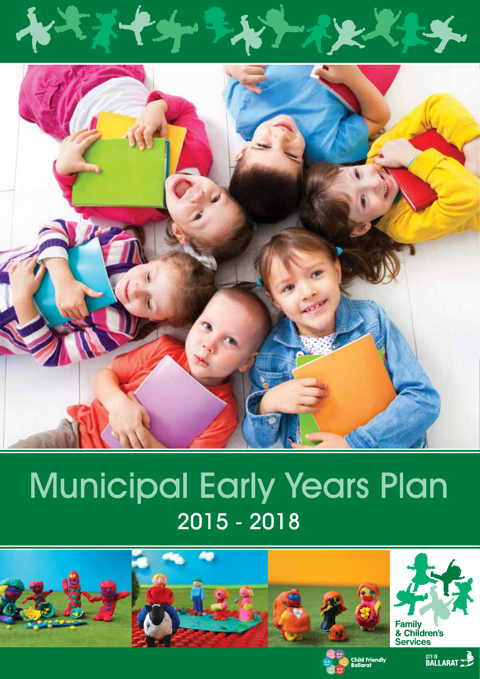

# Municipal Early Years Plan 2015 - 2018





**CITY OF BALLARAT - 2**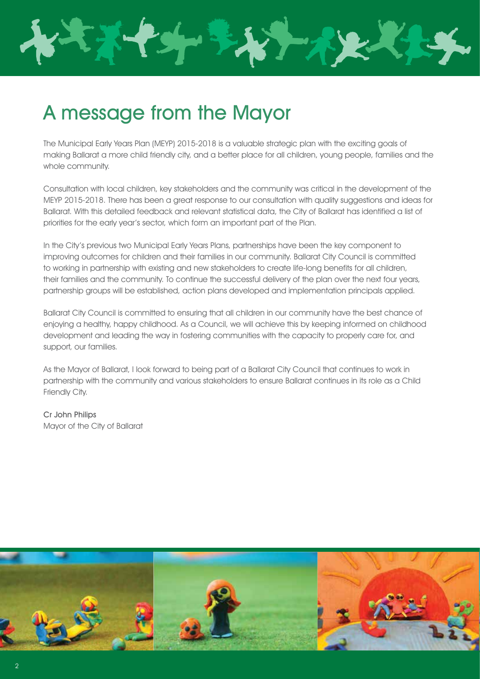

# A message from the Mayor

The Municipal Early Years Plan (MEYP) 2015-2018 is a valuable strategic plan with the exciting goals of making Ballarat a more child friendly city, and a better place for all children, young people, families and the whole community.

Consultation with local children, key stakeholders and the community was critical in the development of the MEYP 2015-2018. There has been a great response to our consultation with quality suggestions and ideas for Ballarat. With this detailed feedback and relevant statistical data, the City of Ballarat has identified a list of priorities for the early year's sector, which form an important part of the Plan.

In the City's previous two Municipal Early Years Plans, partnerships have been the key component to improving outcomes for children and their families in our community. Ballarat City Council is committed to working in partnership with existing and new stakeholders to create life-long benefits for all children, their families and the community. To continue the successful delivery of the plan over the next four years, partnership groups will be established, action plans developed and implementation principals applied.

Ballarat City Council is committed to ensuring that all children in our community have the best chance of enjoying a healthy, happy childhood. As a Council, we will achieve this by keeping informed on childhood development and leading the way in fostering communities with the capacity to properly care for, and support, our families.

As the Mayor of Ballarat, I look forward to being part of a Ballarat City Council that continues to work in partnership with the community and various stakeholders to ensure Ballarat continues in its role as a Child Friendly City.

Cr John Philips Mayor of the City of Ballarat

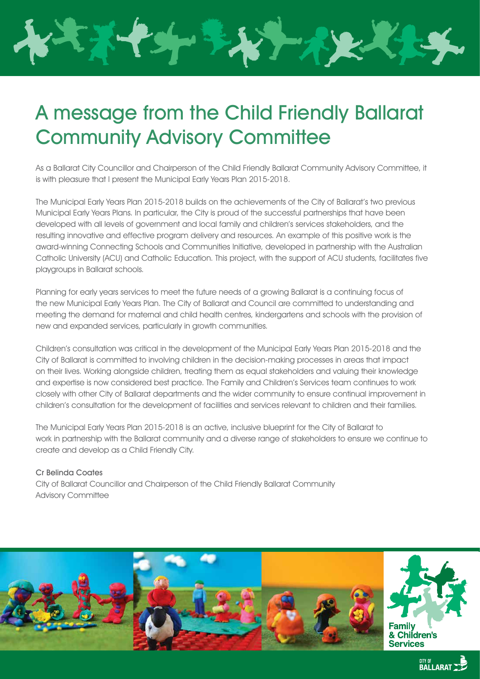# A message from the Child Friendly Ballarat Community Advisory Committee

As a Ballarat City Councillor and Chairperson of the Child Friendly Ballarat Community Advisory Committee, it is with pleasure that I present the Municipal Early Years Plan 2015-2018.

The Municipal Early Years Plan 2015-2018 builds on the achievements of the City of Ballarat's two previous Municipal Early Years Plans. In particular, the City is proud of the successful partnerships that have been developed with all levels of government and local family and children's services stakeholders, and the resulting innovative and effective program delivery and resources. An example of this positive work is the award-winning Connecting Schools and Communities Initiative, developed in partnership with the Australian Catholic University (ACU) and Catholic Education. This project, with the support of ACU students, facilitates five playgroups in Ballarat schools.

Planning for early years services to meet the future needs of a growing Ballarat is a continuing focus of the new Municipal Early Years Plan. The City of Ballarat and Council are committed to understanding and meeting the demand for maternal and child health centres, kindergartens and schools with the provision of new and expanded services, particularly in growth communities.

Children's consultation was critical in the development of the Municipal Early Years Plan 2015-2018 and the City of Ballarat is committed to involving children in the decision-making processes in areas that impact on their lives. Working alongside children, treating them as equal stakeholders and valuing their knowledge and expertise is now considered best practice. The Family and Children's Services team continues to work closely with other City of Ballarat departments and the wider community to ensure continual improvement in children's consultation for the development of facilities and services relevant to children and their families.

The Municipal Early Years Plan 2015-2018 is an active, inclusive blueprint for the City of Ballarat to work in partnership with the Ballarat community and a diverse range of stakeholders to ensure we continue to create and develop as a Child Friendly City.

#### Cr Belinda Coates

City of Ballarat Councillor and Chairperson of the Child Friendly Ballarat Community Advisory Committee

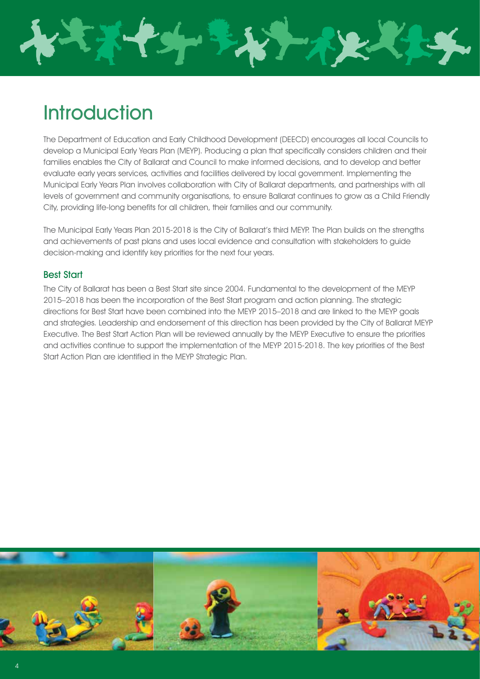

# **Introduction**

The Department of Education and Early Childhood Development (DEECD) encourages all local Councils to develop a Municipal Early Years Plan (MEYP). Producing a plan that specifically considers children and their families enables the City of Ballarat and Council to make informed decisions, and to develop and better evaluate early years services, activities and facilities delivered by local government. Implementing the Municipal Early Years Plan involves collaboration with City of Ballarat departments, and partnerships with all levels of government and community organisations, to ensure Ballarat continues to grow as a Child Friendly City, providing life-long benefits for all children, their families and our community.

The Municipal Early Years Plan 2015-2018 is the City of Ballarat's third MEYP. The Plan builds on the strengths and achievements of past plans and uses local evidence and consultation with stakeholders to guide decision-making and identify key priorities for the next four years.

## Best Start

4

The City of Ballarat has been a Best Start site since 2004. Fundamental to the development of the MEYP 2015–2018 has been the incorporation of the Best Start program and action planning. The strategic directions for Best Start have been combined into the MEYP 2015–2018 and are linked to the MEYP goals and strategies. Leadership and endorsement of this direction has been provided by the City of Ballarat MEYP Executive. The Best Start Action Plan will be reviewed annually by the MEYP Executive to ensure the priorities and activities continue to support the implementation of the MEYP 2015-2018. The key priorities of the Best Start Action Plan are identified in the MEYP Strategic Plan.

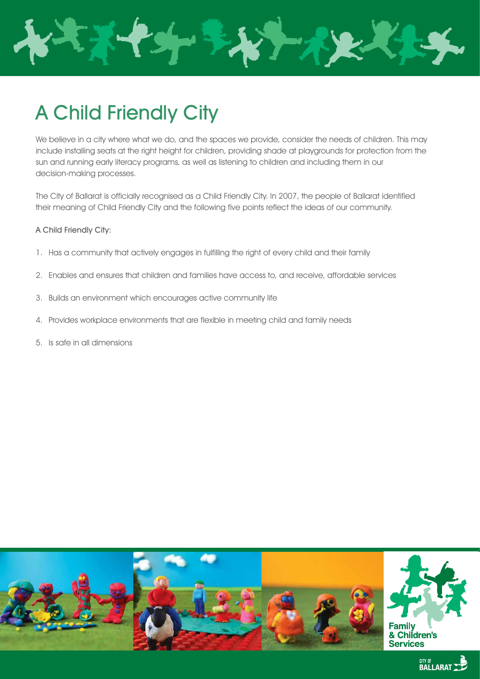

# A Child Friendly City

We believe in a city where what we do, and the spaces we provide, consider the needs of children. This may include installing seats at the right height for children, providing shade at playgrounds for protection from the sun and running early literacy programs, as well as listening to children and including them in our decision-making processes.

The City of Ballarat is officially recognised as a Child Friendly City. In 2007, the people of Ballarat identified their meaning of Child Friendly City and the following five points reflect the ideas of our community.

#### A Child Friendly City:

- 1. Has a community that actively engages in fulfilling the right of every child and their family
- 2. Enables and ensures that children and families have access to, and receive, affordable services
- 3. Builds an environment which encourages active community life
- 4. Provides workplace environments that are flexible in meeting child and family needs
- 5. Is safe in all dimensions

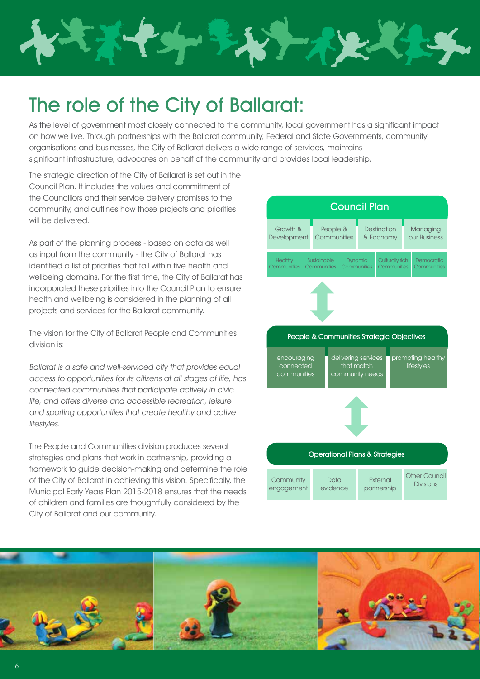

# The role of the City of Ballarat:

As the level of government most closely connected to the community, local government has a significant impact on how we live. Through partnerships with the Ballarat community, Federal and State Governments, community organisations and businesses, the City of Ballarat delivers a wide range of services, maintains significant infrastructure, advocates on behalf of the community and provides local leadership.

The strategic direction of the City of Ballarat is set out in the Council Plan. It includes the values and commitment of the Councillors and their service delivery promises to the community, and outlines how those projects and priorities will be delivered.

As part of the planning process - based on data as well as input from the community - the City of Ballarat has identified a list of priorities that fall within five health and wellbeing domains. For the first time, the City of Ballarat has incorporated these priorities into the Council Plan to ensure health and wellbeing is considered in the planning of all projects and services for the Ballarat community.

The vision for the City of Ballarat People and Communities division is:

Ballarat is a safe and well-serviced city that provides equal access to opportunities for its citizens at all stages of life, has connected communities that participate actively in civic life, and offers diverse and accessible recreation, leisure and sporting opportunities that create healthy and active lifestyles.

The People and Communities division produces several strategies and plans that work in partnership, providing a framework to guide decision-making and determine the role of the City of Ballarat in achieving this vision. Specifically, the Municipal Early Years Plan 2015-2018 ensures that the needs of children and families are thoughtfully considered by the City of Ballarat and our community.



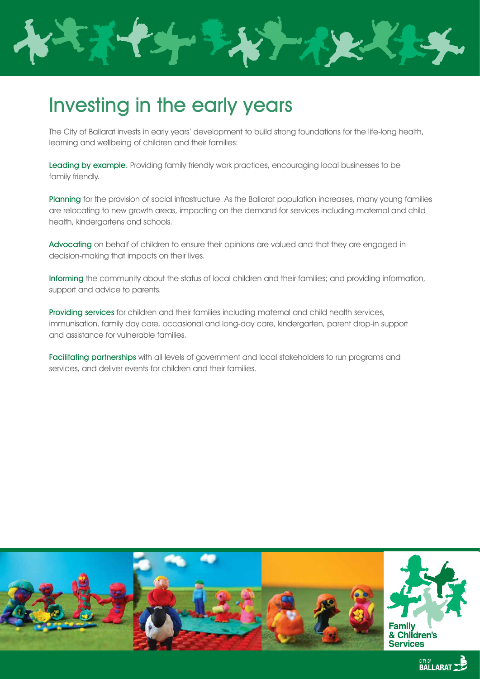

# Investing in the early years

The City of Ballarat invests in early years' development to build strong foundations for the life-long health, learning and wellbeing of children and their families:

Leading by example. Providing family friendly work practices, encouraging local businesses to be family friendly.

Planning for the provision of social infrastructure. As the Ballarat population increases, many young families are relocating to new growth areas, impacting on the demand for services including maternal and child health, kindergartens and schools.

Advocating on behalf of children to ensure their opinions are valued and that they are engaged in decision-making that impacts on their lives.

Informing the community about the status of local children and their families; and providing information, support and advice to parents.

Providing services for children and their families including maternal and child health services, immunisation, family day care, occasional and long-day care, kindergarten, parent drop-in support and assistance for vulnerable families.

Facilitating partnerships with all levels of government and local stakeholders to run programs and services, and deliver events for children and their families.

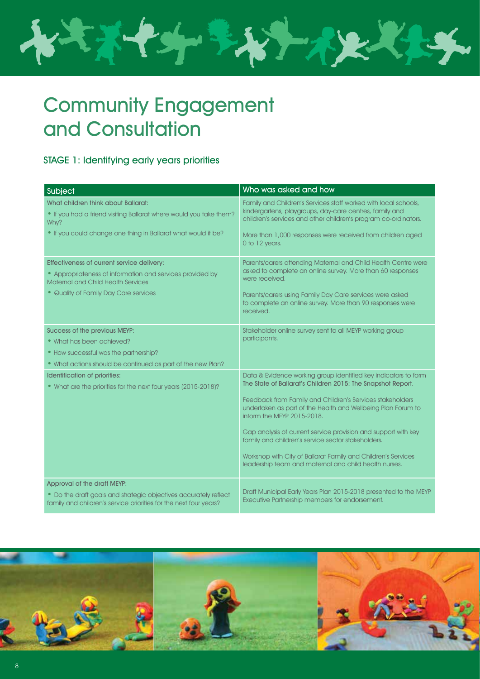

# Community Engagement and Consultation

# STAGE 1: Identifying early years priorities

| Subject                                                                                                                                                                                | Who was asked and how                                                                                                                                                                                                                                                   |
|----------------------------------------------------------------------------------------------------------------------------------------------------------------------------------------|-------------------------------------------------------------------------------------------------------------------------------------------------------------------------------------------------------------------------------------------------------------------------|
| What children think about Ballarat:<br>• If you had a friend visiting Ballarat where would you take them?<br>Why?<br>• If you could change one thing in Ballarat what would it be?     | Family and Children's Services staff worked with local schools,<br>kindergartens, playgroups, day-care centres, family and<br>children's services and other children's program co-ordinators.<br>More than 1,000 responses were received from children aged             |
|                                                                                                                                                                                        | 0 to 12 years.                                                                                                                                                                                                                                                          |
| Effectiveness of current service delivery:<br>• Appropriateness of information and services provided by<br>Maternal and Child Health Services<br>• Quality of Family Day Care services | Parents/carers attending Maternal and Child Health Centre were<br>asked to complete an online survey. More than 60 responses<br>were received.<br>Parents/carers using Family Day Care services were asked<br>to complete an online survey. More than 90 responses were |
|                                                                                                                                                                                        | received.                                                                                                                                                                                                                                                               |
| Success of the previous MEYP:<br>• What has been achieved?                                                                                                                             | Stakeholder online survey sent to all MEYP working group<br>participants.                                                                                                                                                                                               |
| • How successful was the partnership?                                                                                                                                                  |                                                                                                                                                                                                                                                                         |
| • What actions should be continued as part of the new Plan?                                                                                                                            |                                                                                                                                                                                                                                                                         |
| Identification of priorities:<br>• What are the priorities for the next four years (2015-2018)?                                                                                        | Data & Evidence working group identified key indicators to form<br>The State of Ballarat's Children 2015: The Snapshot Report.                                                                                                                                          |
|                                                                                                                                                                                        | Feedback from Family and Children's Services stakeholders<br>undertaken as part of the Health and Wellbeing Plan Forum to<br>inform the MEYP 2015-2018.                                                                                                                 |
|                                                                                                                                                                                        | Gap analysis of current service provision and support with key<br>family and children's service sector stakeholders.                                                                                                                                                    |
|                                                                                                                                                                                        | Workshop with City of Ballarat Family and Children's Services<br>leadership team and maternal and child health nurses.                                                                                                                                                  |
| Approval of the draft MEYP:                                                                                                                                                            |                                                                                                                                                                                                                                                                         |
| • Do the draft goals and strategic objectives accurately reflect<br>family and children's service priorities for the next four years?                                                  | Draft Municipal Early Years Plan 2015-2018 presented to the MEYP<br>Executive Partnership members for endorsement.                                                                                                                                                      |

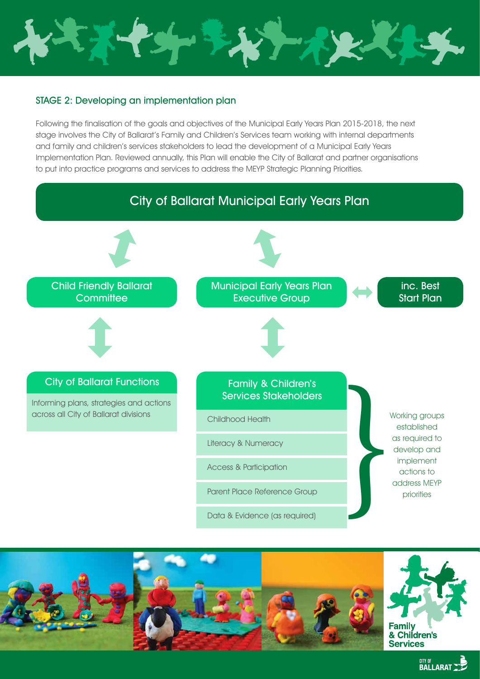

## STAGE 2: Developing an implementation plan

Following the finalisation of the goals and objectives of the Municipal Early Years Plan 2015-2018, the next stage involves the City of Ballarat's Family and Children's Services team working with internal departments and family and children's services stakeholders to lead the development of a Municipal Early Years Implementation Plan. Reviewed annually, this Plan will enable the City of Ballarat and partner organisations to put into practice programs and services to address the MEYP Strategic Planning Priorities.





**CITY OF BALLARAT NEW**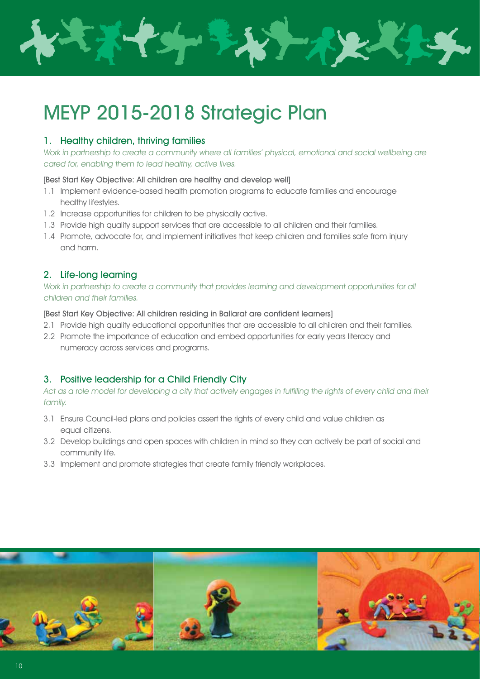

# MEYP 2015-2018 Strategic Plan

### 1. Healthy children, thriving families

Work in partnership to create a community where all families' physical, emotional and social wellbeing are cared for, enabling them to lead healthy, active lives.

#### [Best Start Key Objective: All children are healthy and develop well]

- 1.1 Implement evidence-based health promotion programs to educate families and encourage healthy lifestyles.
- 1.2 Increase opportunities for children to be physically active.
- 1.3 Provide high quality support services that are accessible to all children and their families.
- 1.4 Promote, advocate for, and implement initiatives that keep children and families safe from injury and harm.

### 2. Life-long learning

Work in partnership to create a community that provides learning and development opportunities for all children and their families.

[Best Start Key Objective: All children residing in Ballarat are confident learners]

- 2.1 Provide high quality educational opportunities that are accessible to all children and their families.
- 2.2 Promote the importance of education and embed opportunities for early years literacy and numeracy across services and programs.

# 3. Positive leadership for a Child Friendly City

Act as a role model for developing a city that actively engages in fulfilling the rights of every child and their family.

- 3.1 Ensure Council-led plans and policies assert the rights of every child and value children as equal citizens.
- 3.2 Develop buildings and open spaces with children in mind so they can actively be part of social and community life.
- 3.3 Implement and promote strategies that create family friendly workplaces.

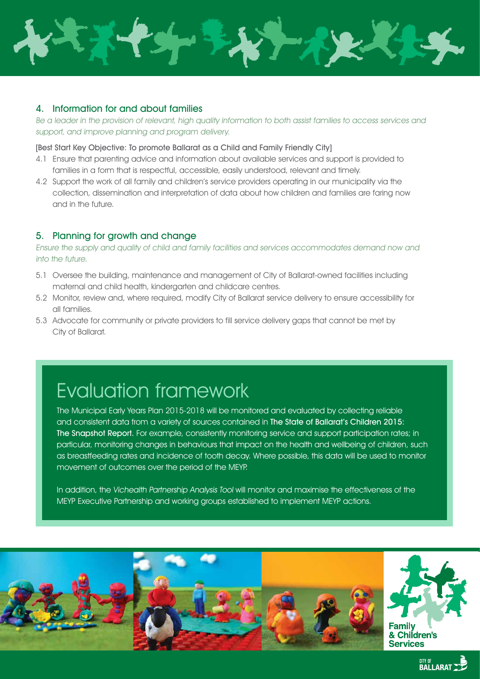

### 4. Information for and about families

Be a leader in the provision of relevant, high quality information to both assist families to access services and support, and improve planning and program delivery.

#### [Best Start Key Objective: To promote Ballarat as a Child and Family Friendly City]

- 4.1 Ensure that parenting advice and information about available services and support is provided to families in a form that is respectful, accessible, easily understood, relevant and timely.
- 4.2 Support the work of all family and children's service providers operating in our municipality via the collection, dissemination and interpretation of data about how children and families are faring now and in the future.

### 5. Planning for growth and change

Ensure the supply and quality of child and family facilities and services accommodates demand now and into the future.

- 5.1 Oversee the building, maintenance and management of City of Ballarat-owned facilities including maternal and child health, kindergarten and childcare centres.
- 5.2 Monitor, review and, where required, modify City of Ballarat service delivery to ensure accessibility for all families.
- 5.3 Advocate for community or private providers to fill service delivery gaps that cannot be met by City of Ballarat.

# Evaluation framework

The Municipal Early Years Plan 2015-2018 will be monitored and evaluated by collecting reliable and consistent data from a variety of sources contained in The State of Ballarat's Children 2015: The Snapshot Report. For example, consistently monitoring service and support participation rates; in particular, monitoring changes in behaviours that impact on the health and wellbeing of children, such as breastfeeding rates and incidence of tooth decay. Where possible, this data will be used to monitor movement of outcomes over the period of the MEYP.

In addition, the Vichealth Partnership Analysis Tool will monitor and maximise the effectiveness of the MEYP Executive Partnership and working groups established to implement MEYP actions.

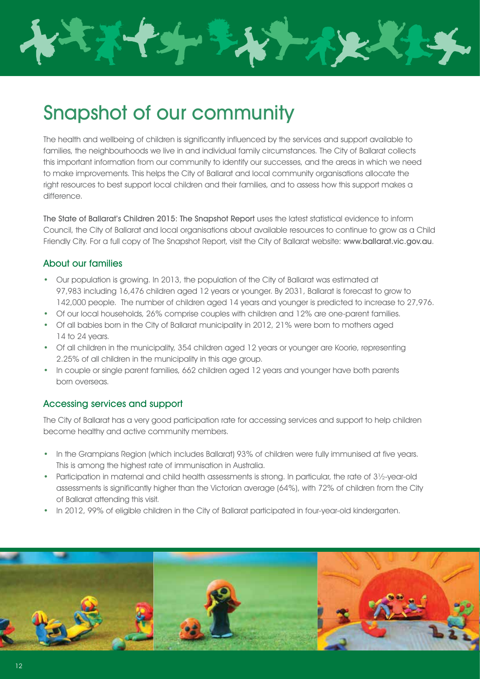

# Snapshot of our community

The health and wellbeing of children is significantly influenced by the services and support available to families, the neighbourhoods we live in and individual family circumstances. The City of Ballarat collects this important information from our community to identify our successes, and the areas in which we need to make improvements. This helps the City of Ballarat and local community organisations allocate the right resources to best support local children and their families, and to assess how this support makes a difference.

The State of Ballarat's Children 2015: The Snapshot Report uses the latest statistical evidence to inform Council, the City of Ballarat and local organisations about available resources to continue to grow as a Child Friendly City. For a full copy of The Snapshot Report, visit the City of Ballarat website: www.ballarat.vic.gov.au.

### About our families

- Our population is growing. In 2013, the population of the City of Ballarat was estimated at 97,983 including 16,476 children aged 12 years or younger. By 2031, Ballarat is forecast to grow to 142,000 people. The number of children aged 14 years and younger is predicted to increase to 27,976.
- Of our local households, 26% comprise couples with children and 12% are one-parent families.
- Of all babies born in the City of Ballarat municipality in 2012, 21% were born to mothers aged 14 to 24 years.
- Of all children in the municipality, 354 children aged 12 years or younger are Koorie, representing 2.25% of all children in the municipality in this age group.
- In couple or single parent families, 662 children aged 12 years and younger have both parents born overseas.

### Accessing services and support

The City of Ballarat has a very good participation rate for accessing services and support to help children become healthy and active community members.

- In the Grampians Region (which includes Ballarat) 93% of children were fully immunised at five years. This is among the highest rate of immunisation in Australia.
- Participation in maternal and child health assessments is strong. In particular, the rate of 3½-year-old assessments is significantly higher than the Victorian average (64%), with 72% of children from the City of Ballarat attending this visit.
- In 2012, 99% of eligible children in the City of Ballarat participated in four-year-old kindergarten.

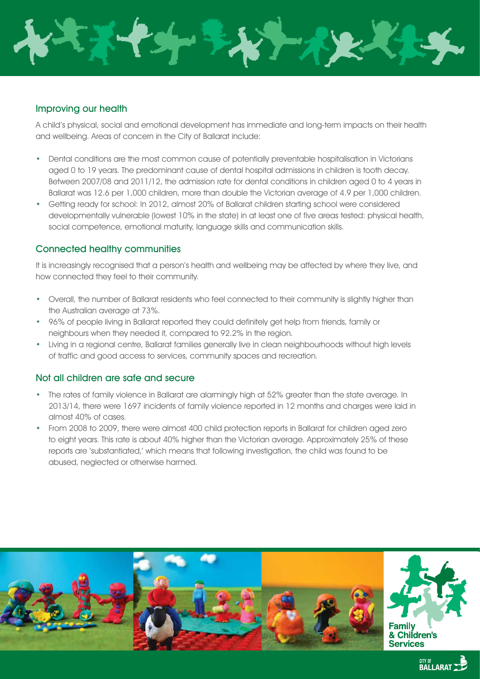

### Improving our health

A child's physical, social and emotional development has immediate and long-term impacts on their health and wellbeing. Areas of concern in the City of Ballarat include:

- Dental conditions are the most common cause of potentially preventable hospitalisation in Victorians aged 0 to 19 years. The predominant cause of dental hospital admissions in children is tooth decay. Between 2007/08 and 2011/12, the admission rate for dental conditions in children aged 0 to 4 years in Ballarat was 12.6 per 1,000 children, more than double the Victorian average of 4.9 per 1,000 children.
- Getting ready for school: In 2012, almost 20% of Ballarat children starting school were considered developmentally vulnerable (lowest 10% in the state) in at least one of five areas tested: physical health, social competence, emotional maturity, language skills and communication skills.

### Connected healthy communities

It is increasingly recognised that a person's health and wellbeing may be affected by where they live, and how connected they feel to their community.

- Overall, the number of Ballarat residents who feel connected to their community is slightly higher than the Australian average at 73%.
- 96% of people living in Ballarat reported they could definitely get help from friends, family or neighbours when they needed it, compared to 92.2% in the region.
- Living in a regional centre, Ballarat families generally live in clean neighbourhoods without high levels of traffic and good access to services, community spaces and recreation.

#### Not all children are safe and secure

- The rates of family violence in Ballarat are alarmingly high at 52% greater than the state average. In 2013/14, there were 1697 incidents of family violence reported in 12 months and charges were laid in almost 40% of cases.
- From 2008 to 2009, there were almost 400 child protection reports in Ballarat for children aged zero to eight years. This rate is about 40% higher than the Victorian average. Approximately 25% of these reports are 'substantiated,' which means that following investigation, the child was found to be abused, neglected or otherwise harmed.

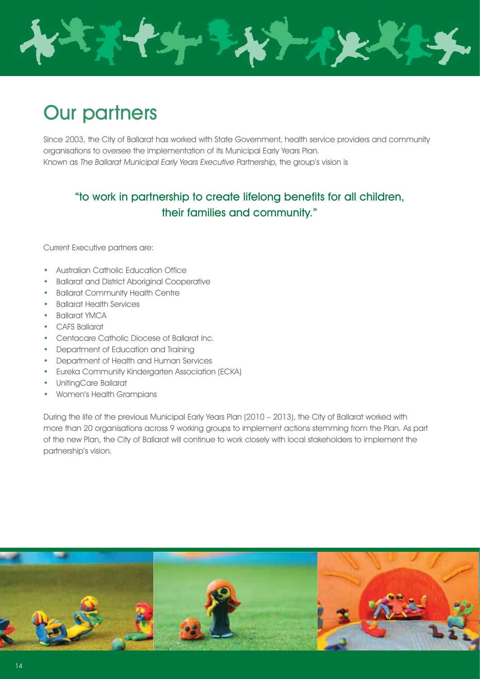

# Our partners

Since 2003, the City of Ballarat has worked with State Government, health service providers and community organisations to oversee the implementation of its Municipal Early Years Plan. Known as The Ballarat Municipal Early Years Executive Partnership, the group's vision is

# "to work in partnership to create lifelong benefits for all children, their families and community."

Current Executive partners are:

- Australian Catholic Education Office
- Ballarat and District Aboriginal Cooperative
- Ballarat Community Health Centre
- Ballarat Health Services
- Ballarat YMCA
- CAFS Ballarat
- Centacare Catholic Diocese of Ballarat Inc.
- Department of Education and Training
- Department of Health and Human Services
- Eureka Community Kindergarten Association (ECKA)
- UnitingCare Ballarat
- Women's Health Grampians

During the life of the previous Municipal Early Years Plan (2010 – 2013), the City of Ballarat worked with more than 20 organisations across 9 working groups to implement actions stemming from the Plan. As part of the new Plan, the City of Ballarat will continue to work closely with local stakeholders to implement the partnership's vision.

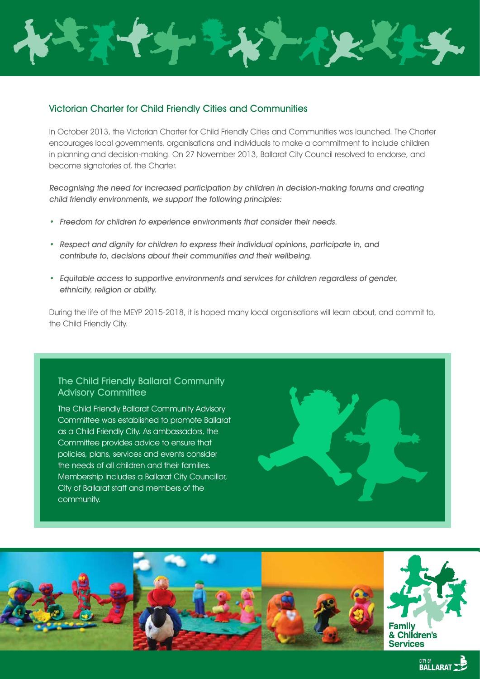

### Victorian Charter for Child Friendly Cities and Communities

In October 2013, the Victorian Charter for Child Friendly Cities and Communities was launched. The Charter encourages local governments, organisations and individuals to make a commitment to include children in planning and decision-making. On 27 November 2013, Ballarat City Council resolved to endorse, and become signatories of, the Charter.

Recognising the need for increased participation by children in decision-making forums and creating child friendly environments, we support the following principles:

- Freedom for children to experience environments that consider their needs.
- Respect and dignity for children to express their individual opinions, participate in, and contribute to, decisions about their communities and their wellbeing.
- Equitable access to supportive environments and services for children regardless of gender, ethnicity, religion or ability.

During the life of the MEYP 2015-2018, it is hoped many local organisations will learn about, and commit to, the Child Friendly City.

### The Child Friendly Ballarat Community **Advisory Committee**

The Child Friendly Ballarat Community Advisory Committee was established to promote Ballarat as a Child Friendly City. As ambassadors, the Committee provides advice to ensure that policies, plans, services and events consider the needs of all children and their families. Membership includes a Ballarat City Councillor, City of Ballarat staff and members of the community.